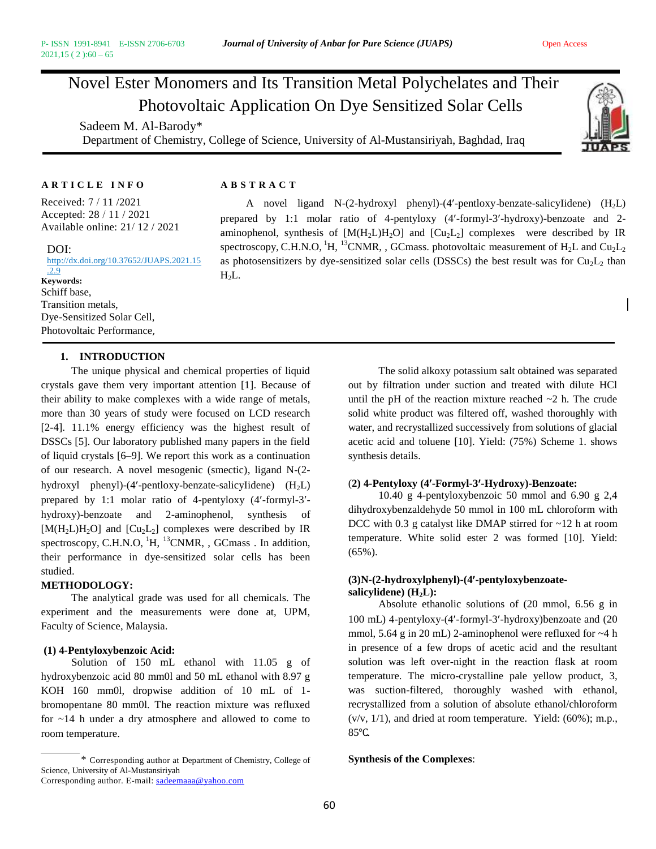# Novel Ester Monomers and Its Transition Metal Polychelates and Their Photovoltaic Application On Dye Sensitized Solar Cells

Sadeem M. Al-Barody\* Department of Chemistry, College of Science, University of Al-Mustansiriyah, Baghdad, Iraq



#### **A R T I C L E I N F O A B S T R A C T**

Received: 7 / 11 /2021 Accepted: 28 / 11 / 2021 Available online: 21/ 12 / 2021

#### DOI:

http://dx.doi.org/10.37652/JUAPS.2021.15 .2.9  $\frac{2.9}{\text{Keywords:}}$   $H_2L$ . Schiff base, Transition metals, Dye-Sensitized Solar Cell, Photovoltaic Performance,

A novel ligand N- $(2-hydroxyl$  phenyl)- $(4'-pentloy)$ -benzate-salicyIidene)  $(H<sub>2</sub>L)$ prepared by 1:1 molar ratio of 4-pentyloxy (4-formyl-3-hydroxy)-benzoate and 2 aminophenol, synthesis of  $[M(H_2L)H_2O]$  and  $[Cu_2L_2]$  complexes were described by IR spectroscopy, C.H.N.O,  ${}^{1}$ H,  ${}^{13}$ CNMR, , GCmass. photovoltaic measurement of H<sub>2</sub>L and Cu<sub>2</sub>L<sub>2</sub> as photosensitizers by dye-sensitized solar cells (DSSCs) the best result was for  $Cu<sub>2</sub>L<sub>2</sub>$  than

# **1. INTRODUCTION**

The unique physical and chemical properties of liquid crystals gave them very important attention [1]. Because of their ability to make complexes with a wide range of metals, more than 30 years of study were focused on LCD research [2-4]. 11.1% energy efficiency was the highest result of DSSCs [5]. Our laboratory published many papers in the field of liquid crystals [6–9]. We report this work as a continuation of our research. A novel mesogenic (smectic), ligand N-(2 hydroxyl phenyl)-(4'-pentloxy-benzate-salicyIidene)  $(H<sub>2</sub>L)$ prepared by 1:1 molar ratio of 4-pentyloxy (4-formyl-3 hydroxy)-benzoate and 2-aminophenol, synthesis of  $[M(H<sub>2</sub> L)H<sub>2</sub>O]$  and  $[U<sub>2</sub> L<sub>2</sub>]$  complexes were described by IR spectroscopy, C.H.N.O, <sup>1</sup>H, <sup>13</sup>CNMR, , GCmass . In addition, their performance in dye-sensitized solar cells has been studied.

#### **METHODOLOGY:**

The analytical grade was used for all chemicals. The experiment and the measurements were done at, UPM, Faculty of Science, Malaysia.

#### **(1) 4-Pentyloxybenzoic Acid:**

Solution of 150 mL ethanol with 11.05 g of hydroxybenzoic acid 80 mm0l and 50 mL ethanol with 8.97 g KOH 160 mm0l, dropwise addition of 10 mL of 1 bromopentane 80 mm0l. The reaction mixture was refluxed for ~14 h under a dry atmosphere and allowed to come to room temperature.

out by filtration under suction and treated with dilute HCl until the pH of the reaction mixture reached  $\sim$ 2 h. The crude solid white product was filtered off, washed thoroughly with water, and recrystallized successively from solutions of glacial acetic acid and toluene [10]. Yield: (75%) Scheme 1. shows synthesis details.

The solid alkoxy potassium salt obtained was separated

# (**2) 4-Pentyloxy (4-Formyl-3-Hydroxy)-Benzoate:**

10.40 g 4-pentyloxybenzoic 50 mmol and 6.90 g 2,4 dihydroxybenzaldehyde 50 mmol in 100 mL chloroform with DCC with 0.3 g catalyst like DMAP stirred for ~12 h at room temperature. White solid ester 2 was formed [10]. Yield: (65%).

# **(3)N-(2-hydroxylphenyl)-(4-pentyloxybenzoatesalicylidene) (H2L):**

Absolute ethanolic solutions of (20 mmol, 6.56 g in 100 mL) 4-pentyloxy-(4-formyl-3-hydroxy)benzoate and (20 mmol, 5.64 g in 20 mL) 2-aminophenol were refluxed for ~4 h in presence of a few drops of acetic acid and the resultant solution was left over-night in the reaction flask at room temperature. The micro-crystalline pale yellow product, 3, was suction-filtered, thoroughly washed with ethanol, recrystallized from a solution of absolute ethanol/chloroform (v/v, 1/1), and dried at room temperature. Yield: (60%); m.p., 85℃.

# **Synthesis of the Complexes**:

<sup>\*</sup> Corresponding author at Department of Chemistry, College of Science, University of Al-Mustansiriyah Corresponding author. E-mail[: sadeemaaa@yahoo.com](mailto:sadeemaaa@yahoo.com)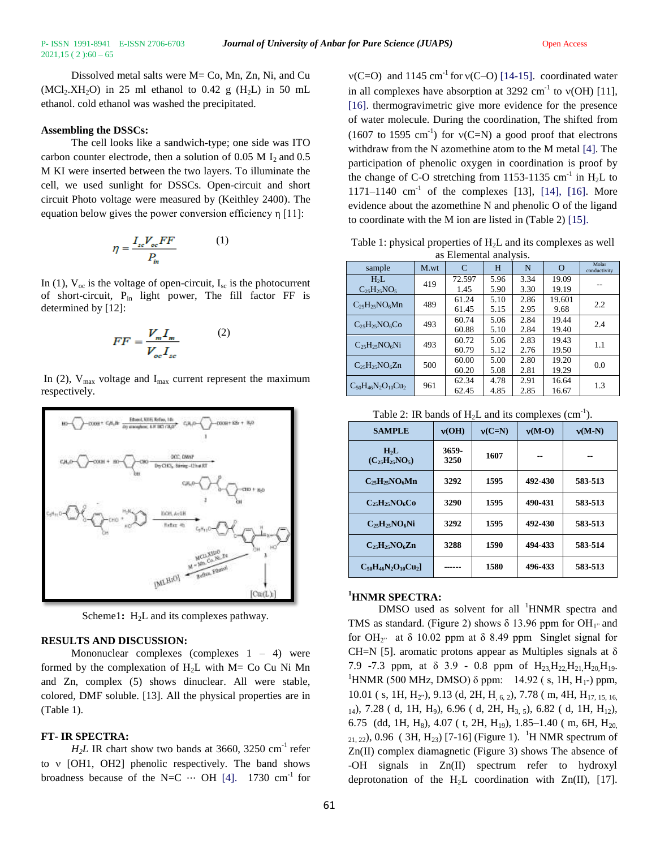Dissolved metal salts were M= Co, Mn, Zn, Ni, and Cu  $(MCl<sub>2</sub>, XH<sub>2</sub>O)$  in 25 ml ethanol to 0.42 g  $(H<sub>2</sub>L)$  in 50 mL ethanol. cold ethanol was washed the precipitated.

# **Assembling the DSSCs:**

The cell looks like a sandwich-type; one side was ITO carbon counter electrode, then a solution of 0.05 M  $I_2$  and 0.5 M KI were inserted between the two layers. To illuminate the cell, we used sunlight for DSSCs. Open-circuit and short circuit Photo voltage were measured by (Keithley 2400). The equation below gives the power conversion efficiency η [11]:

$$
\eta = \frac{I_{sc}V_{oc}FF}{P_m} \tag{1}
$$

In (1),  $V_{\text{oc}}$  is the voltage of open-circuit,  $I_{\text{sc}}$  is the photocurrent of short-circuit,  $P_{in}$  light power, The fill factor FF is determined by [12]:

$$
FF = \frac{V_m I_m}{V_{oc} I_{sc}} \tag{2}
$$

In (2),  $V_{\text{max}}$  voltage and I<sub>max</sub> current represent the maximum respectively.



Scheme1:  $H_2L$  and its complexes pathway.

# **RESULTS AND DISCUSSION:**

Mononuclear complexes (complexes  $1 - 4$ ) were formed by the complexation of  $H_2L$  with  $M = Co$  Cu Ni Mn and Zn, complex (5) shows dinuclear. All were stable, colored, DMF soluble. [13]. All the physical properties are in (Table 1).

# **FT- IR SPECTRA:**

 $H<sub>2</sub>L$  IR chart show two bands at 3660, 3250 cm<sup>-1</sup> refer to  $v$  [OH1, OH2] phenolic respectively. The band shows broadness because of the N=C  $\cdots$  OH [4]. 1730 cm<sup>-1</sup> for

 $v(C=O)$  and 1145 cm<sup>-1</sup> for  $v(C=O)$  [14-15]. coordinated water in all complexes have absorption at  $3292 \text{ cm}^{-1}$  to  $v(OH)$  [11], [16]. thermogravimetric give more evidence for the presence of water molecule. During the coordination, The shifted from  $(1607 \text{ to } 1595 \text{ cm}^{-1})$  for  $v(C=N)$  a good proof that electrons withdraw from the N azomethine atom to the M metal [4]. The participation of phenolic oxygen in coordination is proof by the change of C-O stretching from 1153-1135  $\text{cm}^{-1}$  in H<sub>2</sub>L to  $1171-1140$  cm<sup>-1</sup> of the complexes [13], [14], [16]. More evidence about the azomethine N and phenolic O of the ligand to coordinate with the M ion are listed in (Table 2) [15].

Table 1: physical properties of  $H<sub>2</sub>L$  and its complexes as well as Elemental analysis.

| sample                          | M.wt | C      | H    | N    | $\Omega$ | Molar<br>conductivity |
|---------------------------------|------|--------|------|------|----------|-----------------------|
| H <sub>2</sub> L                | 419  | 72.597 | 5.96 | 3.34 | 19.09    |                       |
| $C_{25}H_{25}NO_5$              |      | 1.45   | 5.90 | 3.30 | 19.19    |                       |
| $C_{25}H_{25}NO_6Mn$            | 489  | 61.24  | 5.10 | 2.86 | 19.601   | 2.2                   |
|                                 |      | 61.45  | 5.15 | 2.95 | 9.68     |                       |
| $C_{25}H_{25}NO_6CO$            | 493  | 60.74  | 5.06 | 2.84 | 19.44    | 2.4                   |
|                                 |      | 60.88  | 5.10 | 2.84 | 19.40    |                       |
| $C_{25}H_{25}NO_6Ni$            | 493  | 60.72  | 5.06 | 2.83 | 19.43    | 1.1                   |
|                                 |      | 60.79  | 5.12 | 2.76 | 19.50    |                       |
| $C_{25}H_{25}NO_6Zn$            | 500  | 60.00  | 5.00 | 2.80 | 19.20    | 0.0                   |
|                                 |      | 60.20  | 5.08 | 2.81 | 19.29    |                       |
| $C_{50}H_{46}N_{2}O_{10}Cu_{2}$ | 961  | 62.34  | 4.78 | 2.91 | 16.64    | 1.3                   |
|                                 |      | 62.45  | 4.85 | 2.85 | 16.67    |                       |

| Table 2: IR bands of $H_2L$ and its complexes (cm <sup>-1</sup> ). |
|--------------------------------------------------------------------|
|--------------------------------------------------------------------|

| <b>SAMPLE</b>                            | v(OH)         | $v(C=N)$ | $v(M-O)$ | $v(M-N)$ |
|------------------------------------------|---------------|----------|----------|----------|
| H <sub>2</sub> L<br>$(C_{25}H_{25}NO_5)$ | 3659-<br>3250 | 1607     | --       | --       |
| $C_{25}H_{25}NO_6Mn$                     | 3292          | 1595     | 492-430  | 583-513  |
| $C_{25}H_{25}NO_6Co$                     | 3290          | 1595     | 490-431  | 583-513  |
| $C_{25}H_{25}NO_6Ni$                     | 3292          | 1595     | 492-430  | 583-513  |
| $C_{25}H_{25}NO_6Zn$                     | 3288          | 1590     | 494-433  | 583-514  |
| $C_{50}H_{46}N_2O_{10}Cu_2$              |               | 1580     | 496-433  | 583-513  |

# **<sup>1</sup>HNMR SPECTRA:**

DMSO used as solvent for all <sup>1</sup>HNMR spectra and TMS as standard. (Figure 2) shows  $\delta$  13.96 ppm for OH<sub>1</sub><sup> $\mu$ </sup> and for OH<sub>2"</sub> at  $\delta$  10.02 ppm at  $\delta$  8.49 ppm Singlet signal for CH=N [5]. aromatic protons appear as Multiples signals at  $\delta$ 7.9 -7.3 ppm, at  $\delta$  3.9 - 0.8 ppm of  $H_{23}H_{22}H_{21}H_{20}H_{19}$ . <sup>1</sup>HNMR (500 MHz, DMSO) δ ppm: 14.92 (s, 1H, H<sub>1"</sub>) ppm, 10.01 ( s, 1H, H<sub>2"</sub>), 9.13 (d, 2H, H<sub>, 6, 2</sub>), 7.78 ( m, 4H, H<sub>17, 15, 16,</sub>  $1<sub>14</sub>$ ), 7.28 ( d, 1H, H<sub>9</sub>), 6.96 ( d, 2H, H<sub>3, 5</sub>), 6.82 ( d, 1H, H<sub>12</sub>), 6.75 (dd, 1H, H<sub>8</sub>), 4.07 ( t, 2H, H<sub>19</sub>), 1.85–1.40 ( m, 6H, H<sub>20</sub>)  $_{21, 22}$ , 0.96 (3H, H<sub>23</sub>) [7-16] (Figure 1). <sup>1</sup>H NMR spectrum of Zn(II) complex diamagnetic (Figure 3) shows The absence of -OH signals in Zn(II) spectrum refer to hydroxyl deprotonation of the H<sub>2</sub>L coordination with  $Zn(II)$ , [17].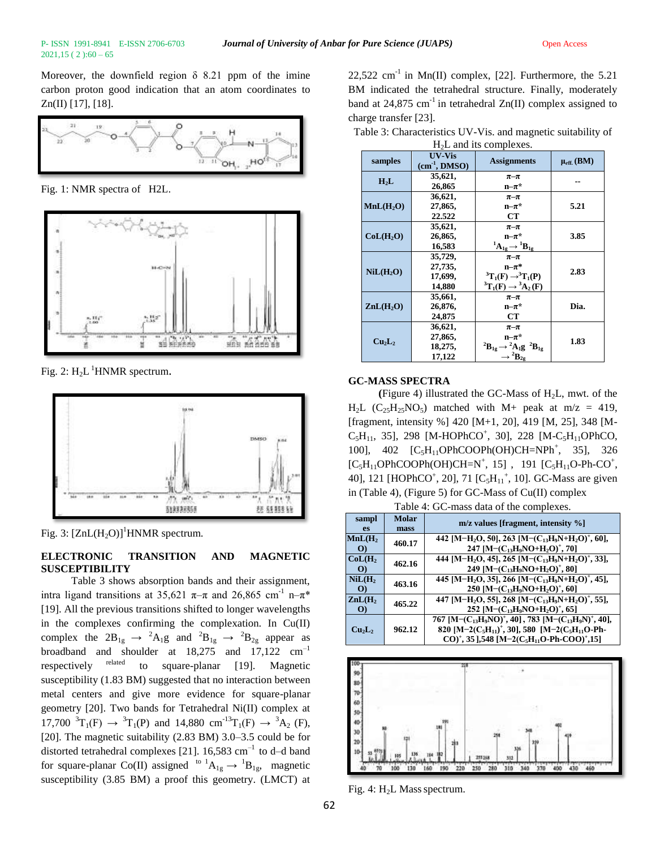Moreover, the downfield region  $\delta$  8.21 ppm of the imine carbon proton good indication that an atom coordinates to  $Zn(II)$  [17], [18].



Fig. 1: NMR spectra of H2L.



Fig. 2:  $H_2L$ <sup>1</sup>HNMR spectrum.



Fig. 3:  $[ZnL(H_2O)]$ <sup>1</sup>HNMR spectrum.

# **ELECTRONIC TRANSITION AND MAGNETIC SUSCEPTIBILITY**

Table 3 shows absorption bands and their assignment, intra ligand transitions at 35,621  $\pi-\pi$  and 26,865 cm<sup>-1</sup> n- $\pi^*$ [19]. All the previous transitions shifted to longer wavelengths in the complexes confirming the complexation. In Cu(II) complex the  $2B_{1g} \rightarrow {}^2A_1g$  and  ${}^2B_{1g} \rightarrow {}^2B_{2g}$  appear as broadband and shoulder at  $18,275$  and  $17,122$  cm<sup>-1</sup> respectively related to square-planar [19]. Magnetic susceptibility (1.83 BM) suggested that no interaction between metal centers and give more evidence for square-planar geometry [20]. Two bands for Tetrahedral Ni(II) complex at  $17,700 \text{ }^3\text{T}_1(\text{F}) \rightarrow {}^3\text{T}_1(\text{P})$  and  $14,880 \text{ cm}^{-13}\text{T}_1(\text{F}) \rightarrow {}^3\text{A}_2(\text{F})$ , [20]. The magnetic suitability (2.83 BM) 3.0–3.5 could be for distorted tetrahedral complexes [21]. 16,583  $cm^{-1}$  to d–d band for square-planar Co(II) assigned <sup>to 1</sup> $A_{1g} \rightarrow {}^{1}B_{1g}$ , magnetic susceptibility (3.85 BM) a proof this geometry. (LMCT) at

22,522 cm<sup>-1</sup> in Mn(II) complex, [22]. Furthermore, the 5.21 BM indicated the tetrahedral structure. Finally, moderately band at  $24,875$  cm<sup>-1</sup> in tetrahedral Zn(II) complex assigned to charge transfer [23].

|                                |                                         | $11/D$ and $100$ complexes.                                                                                  |                   |
|--------------------------------|-----------------------------------------|--------------------------------------------------------------------------------------------------------------|-------------------|
| samples                        | UV-Vis<br>$(cm-1, DMSO)$                | <b>Assignments</b>                                                                                           | $\mu_{eff.}$ (BM) |
| $H_2L$                         | 35,621,<br>26,865                       | $\pi-\pi$<br>$n-\pi^*$                                                                                       |                   |
| MnL(H <sub>2</sub> O)          | 36,621,<br>27,865,<br>22.522            | $\pi-\pi$<br>$n-\pi^*$<br><b>CT</b>                                                                          | 5.21              |
| CoL(H <sub>2</sub> O)          | 35,621,<br>26,865,<br>16,583            | $\pi-\pi$<br>$n-\pi^*$<br>${}^1A_{1g} \rightarrow {}^1B_{1g}$                                                | 3.85              |
| NiL(H <sub>2</sub> O)          | 35,729,<br>27,735,<br>17,699,<br>14.880 | $\pi-\pi$<br>$n-\pi^*$<br>${}^{3}T_{1}(F) \rightarrow {}^{3}T_{1}(P)$<br>${}^3T_1(F) \rightarrow {}^3A_2(F)$ | 2.83              |
| ZnL(H <sub>2</sub> O)          | 35,661,<br>26,876,<br>24,875            | $\pi-\pi$<br>$n-\pi^*$<br><b>CT</b>                                                                          | Dia.              |
| Cu <sub>2</sub> L <sub>2</sub> | 36,621,<br>27,865,<br>18,275,<br>17,122 | $\pi-\pi$<br>$n-\pi^*$<br>${}^2B_{1g} \rightarrow {}^2A_1g$ ${}^2B_{1g}$<br>$\rightarrow$ ${}^{2}B_{2g}$     | 1.83              |

Table 3: Characteristics UV-Vis. and magnetic suitability of H2L and its complexes.

#### **GC-MASS SPECTRA**

(Figure 4) illustrated the GC-Mass of  $H_2L$ , mwt. of the  $H<sub>2</sub>L$  (C<sub>25</sub>H<sub>25</sub>NO<sub>5</sub>) matched with M+ peak at m/z = 419, [fragment, intensity %] 420 [M+1, 20], 419 [M, 25], 348 [M- $C_5H_{11}$ , 35], 298 [M-HOPhCO<sup>+</sup>, 30], 228 [M-C<sub>5</sub>H<sub>11</sub>OPhCO, 100], 402 [C<sub>5</sub>H<sub>11</sub>OPhCOOPh(OH)CH=NPh<sup>+</sup>, 35], 326  $[C_5H_{11}OPhCOOPh(OH)CH=N^+, 15]$ , 191  $[C_5H_{11}O-Ph-CO^+,$ 40], 121 [HOPhCO<sup>+</sup>, 20], 71 [C<sub>5</sub>H<sub>11</sub><sup>+</sup>, 10]. GC-Mass are given in (Table 4), (Figure 5) for GC-Mass of Cu(II) complex

Table 4: GC-mass data of the complexes.

| raore as of mass quare or the compression |                      |                                                                                                                                                                                                                                               |  |  |  |  |
|-------------------------------------------|----------------------|-----------------------------------------------------------------------------------------------------------------------------------------------------------------------------------------------------------------------------------------------|--|--|--|--|
| sampl<br><b>es</b>                        | <b>Molar</b><br>mass | $m/z$ values [fragment, intensity $\%$ ]                                                                                                                                                                                                      |  |  |  |  |
| MnL(H <sub>2</sub> )<br>$\Omega$          | 460.17               | 442 [M-H <sub>2</sub> O, 50], 263 [M-(C <sub>13</sub> H <sub>9</sub> N+H <sub>2</sub> O) <sup>+</sup> , 60],<br>247 [M- $(C_{13}H_9NO+H_2O)^+$ , 70]                                                                                          |  |  |  |  |
| CoL(H <sub>2</sub> )<br>$\Omega$          | 462.16               | 444 [M-H <sub>2</sub> O, 45], 265 [M-(C <sub>13</sub> H <sub>9</sub> N+H <sub>2</sub> O) <sup>+</sup> , 33],<br>249 [M- $(C_{13}H_9NO+H_2O)^+$ , 80]                                                                                          |  |  |  |  |
| NiL(H <sub>2</sub> )<br>$\Omega$          | 463.16               | 445 [M-H <sub>2</sub> O, 35], 266 [M-(C <sub>13</sub> H <sub>9</sub> N+H <sub>2</sub> O) <sup>+</sup> , 45],<br>250 [M- $(C_{13}H_9NO+H_2O)^+$ , 60]                                                                                          |  |  |  |  |
| ZnL(H <sub>2</sub> )<br>$\bf{O}$          | 465.22               | 447 [M-H <sub>2</sub> O, 55], 268 [M-(C <sub>13</sub> H <sub>9</sub> N+H <sub>2</sub> O) <sup>+</sup> , 55],<br>252 [M- $(C_{13}H_9NO+H_2O)^+$ , 65]                                                                                          |  |  |  |  |
| Cu <sub>2</sub> L <sub>2</sub>            | 962.12               | 767 [M- $(C_{13}H_9NO)^+$ , 40], 783 [M- $(C_{13}H_9N)^+$ , 40],<br>820 [M-2( $C_5H_{11}$ ) <sup>+</sup> , 30], 580 [M-2( $C_5H_{11}O$ -Ph-<br>$CO$ <sup>+</sup> , 35 ], 548 [M-2(C <sub>5</sub> H <sub>11</sub> O-Ph-COO) <sup>+</sup> , 15] |  |  |  |  |



Fig. 4:  $H<sub>2</sub>L$  Mass spectrum.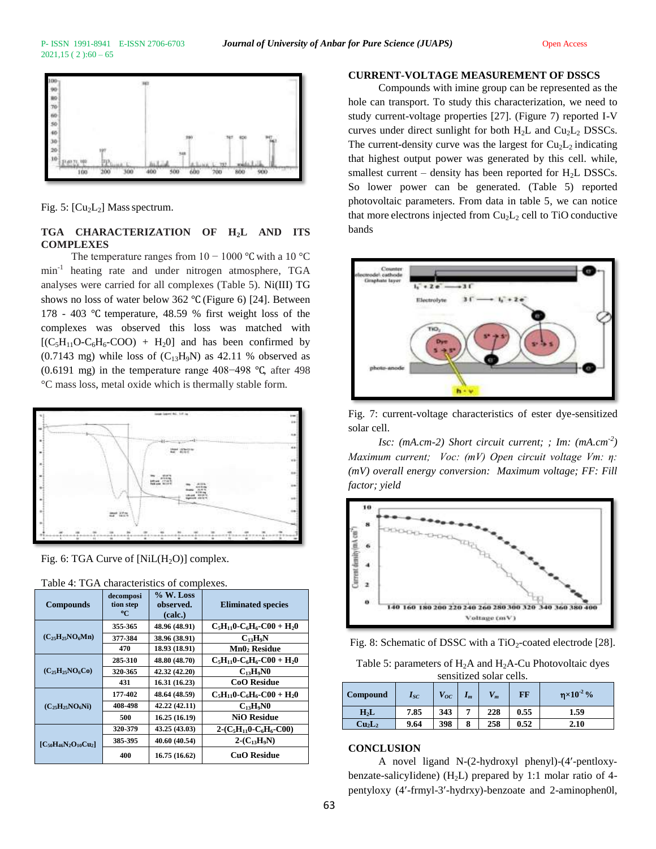

Fig. 5:  $\left[\text{Cu}_2\text{L}_2\right]$  Mass spectrum.

# **TGA CHARACTERIZATION OF H2L AND ITS COMPLEXES**

The temperature ranges from  $10 - 1000$  °C with a 10 °C min-1 heating rate and under nitrogen atmosphere, TGA analyses were carried for all complexes (Table 5). Ni(III) TG shows no loss of water below 362 ℃ (Figure 6) [24]. Between 178 - 403 ℃ temperature, 48.59 % first weight loss of the complexes was observed this loss was matched with  $[(C_5H_{11}O-C_6H_6-COO) + H_2O]$  and has been confirmed by  $(0.7143 \text{ mg})$  while loss of  $(C_{13}H_9N)$  as 42.11 % observed as (0.6191 mg) in the temperature range 408−498 ℃, after 498 °C mass loss, metal oxide which is thermally stable form.



Fig. 6: TGA Curve of  $[NiL(H_2O)]$  complex.

| <b>Compounds</b>              | decomposi<br>tion step<br>°C | % W. Loss<br>observed.<br>(calc.) | <b>Eliminated species</b>          |
|-------------------------------|------------------------------|-----------------------------------|------------------------------------|
|                               | 355-365                      | 48.96 (48.91)                     | $C_5H_{11}0 - C_6H_6 - C00 + H_20$ |
| $(C_{25}H_{25}NO_6Mn)$        | 377-384                      | 38.96 (38.91)                     | $C_1$ <sub>2</sub> $H_9N$          |
|                               | 470                          | 18.93 (18.91)                     | Mn0 <sub>2</sub> Residue           |
| $(C_{25}H_{25}NO_6CO)$        | 285-310                      | 48.80 (48.70)                     | $C_5H_{11}0 - C_6H_6 - C00 + H_20$ |
|                               | 320-365                      | 42.32 (42.20)                     | $C_1$ <sub>3</sub> $H_9N0$         |
|                               | 431                          | 16.31 (16.23)                     | <b>CoO Residue</b>                 |
|                               | 177-402                      | 48.64 (48.59)                     | $C_5H_{11}0 - C_6H_6 - C00 + H_20$ |
| $(C_{25}H_{25}NO_6Ni)$        | 408-498                      | 42.22 (42.11)                     | $C_{13}H_9N0$                      |
|                               | 500                          | 16.25(16.19)                      | <b>NiO Residue</b>                 |
| $[C_{50}H_{46}N_2O_{10}Cu_2]$ | 320-379                      | 43.25 (43.03)                     | $2-(C_5H_{11}0-C_6H_6-C00)$        |
|                               | 385-395                      | 40.60 (40.54)                     | $2-(C_{13}H_9N)$                   |
|                               | 400                          | 16.75 (16.62)                     | CuO Residue                        |

| Table 4: TGA characteristics of complexes. |  |  |  |
|--------------------------------------------|--|--|--|
|--------------------------------------------|--|--|--|

#### **CURRENT-VOLTAGE MEASUREMENT OF DSSCS**

Compounds with imine group can be represented as the hole can transport. To study this characterization, we need to study current-voltage properties [27]. (Figure 7) reported I-V curves under direct sunlight for both  $H_2L$  and  $Cu_2L_2$  DSSCs. The current-density curve was the largest for  $Cu<sub>2</sub>L<sub>2</sub>$  indicating that highest output power was generated by this cell. while, smallest current – density has been reported for  $H<sub>2</sub>L$  DSSCs. So lower power can be generated. (Table 5) reported photovoltaic parameters. From data in table 5, we can notice that more electrons injected from  $Cu<sub>2</sub>L<sub>2</sub>$  cell to TiO conductive bands



Fig. 7: current-voltage characteristics of ester dye-sensitized solar cell.

*Isc: (mA.cm-2) Short circuit current; ; Im: (mA.cm-2 ) Maximum current; Voc: (mV) Open circuit voltage Vm: η: (mV) overall energy conversion: Maximum voltage; FF: Fill factor; yield*



Fig. 8: Schematic of DSSC with a TiO<sub>2</sub>-coated electrode [28].

Table 5: parameters of  $H_2A$  and  $H_2A$ -Cu Photovoltaic dyes sensitized solar cells.

| <b>Compound</b>                | $I_{SC}$ | $\boldsymbol{V_{OC}}$ | $\mathbf{I}_m$ | m   | FF   | $\eta \times 10^{-2}$ % |
|--------------------------------|----------|-----------------------|----------------|-----|------|-------------------------|
| H <sub>2</sub> L               | 7.85     | 343                   | -              | 228 | 0.55 | 1.59                    |
| Cu <sub>2</sub> L <sub>2</sub> | 9.64     | 398                   | 8              | 258 | 0.52 | 2.10                    |

#### **CONCLUSION**

A novel ligand N-(2-hydroxyl phenyl)-(4-pentloxybenzate-salicyIidene) ( $H<sub>2</sub>L$ ) prepared by 1:1 molar ratio of 4pentyloxy (4-frmyl-3-hydrxy)-benzoate and 2-aminophen0l,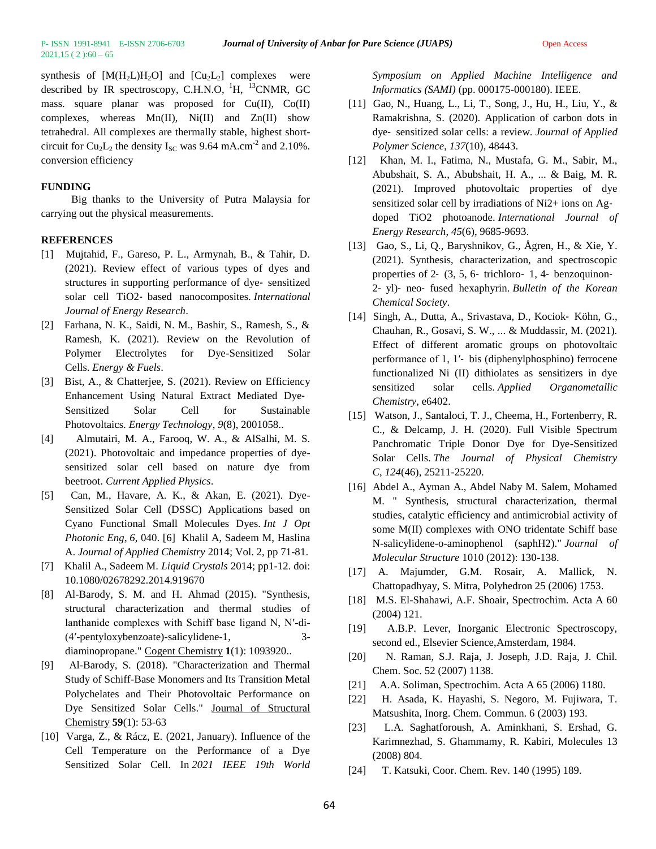$2021,15(2):60-65$ 

synthesis of  $[M(H_2L)H_2O]$  and  $[Cu_2L_2]$  complexes were described by IR spectroscopy, C.H.N.O,  $^{1}$ H,  $^{13}$ CNMR, GC mass. square planar was proposed for  $Cu(II)$ ,  $Co(II)$ complexes, whereas  $Mn(II)$ ,  $Ni(II)$  and  $Zn(II)$  show tetrahedral. All complexes are thermally stable, highest shortcircuit for  $Cu<sub>2</sub>L<sub>2</sub>$  the density  $I<sub>SC</sub>$  was 9.64 mA.cm<sup>-2</sup> and 2.10%. conversion efficiency

#### **FUNDING**

Big thanks to the University of Putra Malaysia for carrying out the physical measurements.

#### **REFERENCES**

- [1] Mujtahid, F., Gareso, P. L., Armynah, B., & Tahir, D. (2021). Review effect of various types of dyes and structures in supporting performance of dye‐ sensitized solar cell TiO2‐ based nanocomposites. *International Journal of Energy Research*.
- [2] Farhana, N. K., Saidi, N. M., Bashir, S., Ramesh, S., & Ramesh, K. (2021). Review on the Revolution of Polymer Electrolytes for Dye-Sensitized Solar Cells. *Energy & Fuels*.
- [3] Bist, A., & Chatterjee, S. (2021). Review on Efficiency Enhancement Using Natural Extract Mediated Dye‐ Sensitized Solar Cell for Sustainable Photovoltaics. *Energy Technology*, *9*(8), 2001058..
- [4] Almutairi, M. A., Farooq, W. A., & AlSalhi, M. S. (2021). Photovoltaic and impedance properties of dyesensitized solar cell based on nature dye from beetroot. *Current Applied Physics*.
- [5] Can, M., Havare, A. K., & Akan, E. (2021). Dye-Sensitized Solar Cell (DSSC) Applications based on Cyano Functional Small Molecules Dyes. *Int J Opt Photonic Eng*, *6*, 040. [6] Khalil A, Sadeem M, Haslina A. *Journal of Applied Chemistry* 2014; Vol. 2, pp 71-81.
- [7] Khalil A., Sadeem M. *Liquid Crystals* 2014; pp1-12. doi: 10.1080/02678292.2014.919670
- [8] Al-Barody, S. M. and H. Ahmad (2015). "Synthesis, structural characterization and thermal studies of lanthanide complexes with Schiff base ligand N, N′-di- (4′-pentyloxybenzoate)-salicylidene-1, 3 diaminopropane." Cogent Chemistry **1**(1): 1093920..
- [9] Al-Barody, S. (2018). "Characterization and Thermal Study of Schiff-Base Monomers and Its Transition Metal Polychelates and Their Photovoltaic Performance on Dye Sensitized Solar Cells." Journal of Structural Chemistry **59**(1): 53-63
- [10] Varga, Z., & Rácz, E. (2021, January). Influence of the Cell Temperature on the Performance of a Dye Sensitized Solar Cell. In *2021 IEEE 19th World*

*Symposium on Applied Machine Intelligence and Informatics (SAMI)* (pp. 000175-000180). IEEE.

- [11] Gao, N., Huang, L., Li, T., Song, J., Hu, H., Liu, Y., & Ramakrishna, S. (2020). Application of carbon dots in dye‐ sensitized solar cells: a review. *Journal of Applied Polymer Science*, *137*(10), 48443.
- [12] Khan, M. I., Fatima, N., Mustafa, G. M., Sabir, M., Abubshait, S. A., Abubshait, H. A., ... & Baig, M. R. (2021). Improved photovoltaic properties of dye sensitized solar cell by irradiations of Ni2+ ions on Agdoped TiO2 photoanode. *International Journal of Energy Research*, *45*(6), 9685-9693.
- [13] Gao, S., Li, Q., Baryshnikov, G., Ågren, H., & Xie, Y. (2021). Synthesis, characterization, and spectroscopic properties of 2‐ (3, 5, 6‐ trichloro‐ 1, 4‐ benzoquinon‐ 2‐ yl)‐ neo‐ fused hexaphyrin. *Bulletin of the Korean Chemical Society*.
- [14] Singh, A., Dutta, A., Srivastava, D., Kociok‐ Köhn, G., Chauhan, R., Gosavi, S. W., ... & Muddassir, M. (2021). Effect of different aromatic groups on photovoltaic performance of 1, 1′‐ bis (diphenylphosphino) ferrocene functionalized Ni (II) dithiolates as sensitizers in dye sensitized solar cells. *Applied Organometallic Chemistry*, e6402.
- [15] Watson, J., Santaloci, T. J., Cheema, H., Fortenberry, R. C., & Delcamp, J. H. (2020). Full Visible Spectrum Panchromatic Triple Donor Dye for Dye-Sensitized Solar Cells. *The Journal of Physical Chemistry C*, *124*(46), 25211-25220.
- [16] Abdel A., Ayman A., Abdel Naby M. Salem, Mohamed M. " Synthesis, structural characterization, thermal studies, catalytic efficiency and antimicrobial activity of some M(II) complexes with ONO tridentate Schiff base N-salicylidene-o-aminophenol (saphH2)." *Journal of Molecular Structure* 1010 (2012): 130-138.
- [17] A. Majumder, G.M. Rosair, A. Mallick, N. Chattopadhyay, S. Mitra, Polyhedron 25 (2006) 1753.
- [18] M.S. El-Shahawi, A.F. Shoair, Spectrochim. Acta A 60 (2004) 121.
- [19] A.B.P. Lever, Inorganic Electronic Spectroscopy, second ed., Elsevier Science,Amsterdam, 1984.
- [20] N. Raman, S.J. Raja, J. Joseph, J.D. Raja, J. Chil. Chem. Soc. 52 (2007) 1138.
- [21] A.A. Soliman, Spectrochim. Acta A 65 (2006) 1180.
- [22] H. Asada, K. Hayashi, S. Negoro, M. Fujiwara, T. Matsushita, Inorg. Chem. Commun. 6 (2003) 193.
- [23] L.A. Saghatforoush, A. Aminkhani, S. Ershad, G. Karimnezhad, S. Ghammamy, R. Kabiri, Molecules 13 (2008) 804.
- [24] T. Katsuki, Coor. Chem. Rev. 140 (1995) 189.